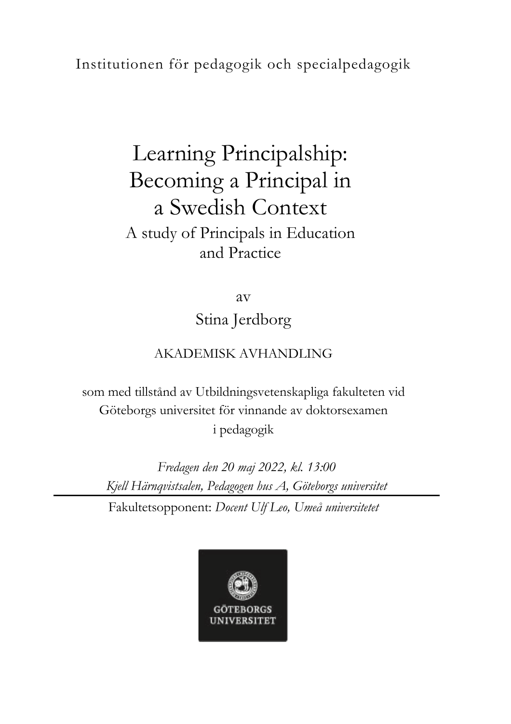## Institutionen för pedagogik och specialpedagogik

## Learning Principalship: Becoming a Principal in a Swedish Context A study of Principals in Education and Practice

av Stina Jerdborg

## AKADEMISK AVHANDLING

som med tillstånd av Utbildningsvetenskapliga fakulteten vid Göteborgs universitet för vinnande av doktorsexamen i pedagogik

*Fredagen den 20 maj 2022, kl. 13:00 Kjell Härnqvistsalen, Pedagogen hus A, Göteborgs universitet* Fakultetsopponent: *Docent Ulf Leo, Umeå universitetet*